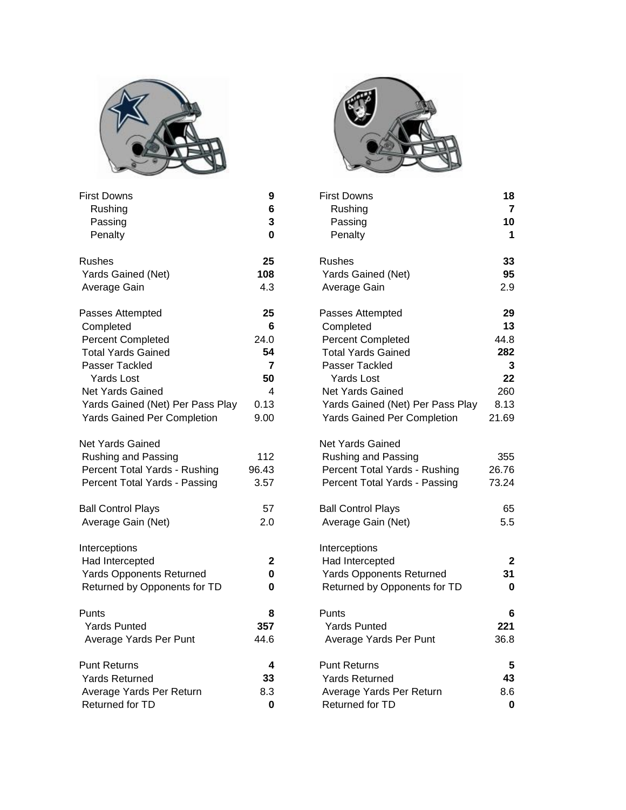

| First Downs                        | 9     | First Downs                        | 18               |
|------------------------------------|-------|------------------------------------|------------------|
| Rushing                            | 6     | Rushing                            | $\overline{7}$   |
| Passing                            | 3     | Passing                            | 10               |
| Penalty                            | 0     | Penalty                            | 1                |
| <b>Rushes</b>                      | 25    | <b>Rushes</b>                      | 33               |
| Yards Gained (Net)                 | 108   | Yards Gained (Net)                 | 95               |
| Average Gain                       | 4.3   | Average Gain                       | 2.9              |
| Passes Attempted                   | 25    | Passes Attempted                   | 29               |
| Completed                          | 6     | Completed                          | 13               |
| <b>Percent Completed</b>           | 24.0  | <b>Percent Completed</b>           | 44.8             |
| <b>Total Yards Gained</b>          | 54    | <b>Total Yards Gained</b>          | 282              |
| Passer Tackled                     | 7     | Passer Tackled                     | 3                |
| <b>Yards Lost</b>                  | 50    | <b>Yards Lost</b>                  | 22               |
| <b>Net Yards Gained</b>            | 4     | <b>Net Yards Gained</b>            | 260              |
| Yards Gained (Net) Per Pass Play   | 0.13  | Yards Gained (Net) Per Pass Play   | 8.13             |
| <b>Yards Gained Per Completion</b> | 9.00  | <b>Yards Gained Per Completion</b> | 21.69            |
| Net Yards Gained                   |       | <b>Net Yards Gained</b>            |                  |
| <b>Rushing and Passing</b>         | 112   | Rushing and Passing                | 355              |
| Percent Total Yards - Rushing      | 96.43 | Percent Total Yards - Rushing      | 26.76            |
| Percent Total Yards - Passing      | 3.57  | Percent Total Yards - Passing      | 73.24            |
| <b>Ball Control Plays</b>          | 57    | <b>Ball Control Plays</b>          | 65               |
| Average Gain (Net)                 | 2.0   | Average Gain (Net)                 | 5.5              |
| Interceptions                      |       | Interceptions                      |                  |
| Had Intercepted                    | 2     | Had Intercepted                    | $\overline{2}$   |
| <b>Yards Opponents Returned</b>    | 0     | <b>Yards Opponents Returned</b>    | 31               |
| Returned by Opponents for TD       | 0     | Returned by Opponents for TD       | $\boldsymbol{0}$ |
| Punts                              | 8     | Punts                              | 6                |
| <b>Yards Punted</b>                | 357   | <b>Yards Punted</b>                | 221              |
| Average Yards Per Punt             | 44.6  | Average Yards Per Punt             | 36.8             |
| <b>Punt Returns</b>                | 4     | <b>Punt Returns</b>                | 5                |
| <b>Yards Returned</b>              | 33    | <b>Yards Returned</b>              | 43               |
| Average Yards Per Return           | 8.3   | Average Yards Per Return           | 8.6              |
| Returned for TD                    | 0     | Returned for TD                    | 0                |



| First Downs<br>Rushing<br>Passing<br>Penalty | 9<br>6<br>3<br>0 | <b>First Downs</b><br>Rushing<br>Passing<br>Penalty | 18<br>$\overline{7}$<br>10<br>1 |
|----------------------------------------------|------------------|-----------------------------------------------------|---------------------------------|
| <b>Rushes</b><br>Yards Gained (Net)          | 25<br>108        | <b>Rushes</b><br>Yards Gained (Net)                 | 33<br>95                        |
| Average Gain                                 | 4.3              | Average Gain                                        | 2.9                             |
| Passes Attempted                             | 25               | Passes Attempted                                    | 29                              |
| Completed                                    | 6                | Completed                                           | 13                              |
| <b>Percent Completed</b>                     | 24.0             | Percent Completed                                   | 44.8                            |
| <b>Total Yards Gained</b>                    | 54               | <b>Total Yards Gained</b>                           | 282                             |
| Passer Tackled                               | 7                | <b>Passer Tackled</b>                               | 3                               |
| <b>Yards Lost</b>                            | 50               | Yards Lost                                          | 22                              |
| <b>Net Yards Gained</b>                      | 4                | Net Yards Gained                                    | 260                             |
| Yards Gained (Net) Per Pass Play             | 0.13             | Yards Gained (Net) Per Pass Play                    | 8.13                            |
| <b>Yards Gained Per Completion</b>           | 9.00             | <b>Yards Gained Per Completion</b>                  | 21.69                           |
| Net Yards Gained                             |                  | Net Yards Gained                                    |                                 |
| <b>Rushing and Passing</b>                   | 112              | Rushing and Passing                                 | 355                             |
| Percent Total Yards - Rushing                | 96.43            | Percent Total Yards - Rushing                       | 26.76                           |
| Percent Total Yards - Passing                | 3.57             | Percent Total Yards - Passing                       | 73.24                           |
| <b>Ball Control Plays</b>                    | 57               | <b>Ball Control Plays</b>                           | 65                              |
| Average Gain (Net)                           | 2.0              | Average Gain (Net)                                  | 5.5                             |
| Interceptions                                |                  | Interceptions                                       |                                 |
| Had Intercepted                              | 2                | Had Intercepted                                     | $\mathbf{2}$                    |
| <b>Yards Opponents Returned</b>              | 0                | <b>Yards Opponents Returned</b>                     | 31                              |
| Returned by Opponents for TD                 | 0                | Returned by Opponents for TD                        | 0                               |
| Punts                                        | 8                | Punts                                               | 6                               |
| <b>Yards Punted</b>                          | 357              | <b>Yards Punted</b>                                 | 221                             |
| Average Yards Per Punt                       | 44.6             | Average Yards Per Punt                              | 36.8                            |
| <b>Punt Returns</b>                          | 4                | <b>Punt Returns</b>                                 | 5                               |
| <b>Yards Returned</b>                        | 33               | <b>Yards Returned</b>                               | 43                              |
| Average Yards Per Return                     | 8.3              | Average Yards Per Return                            | 8.6                             |
| Returned for TD                              | $\bf{0}$         | Returned for TD                                     | $\bf{0}$                        |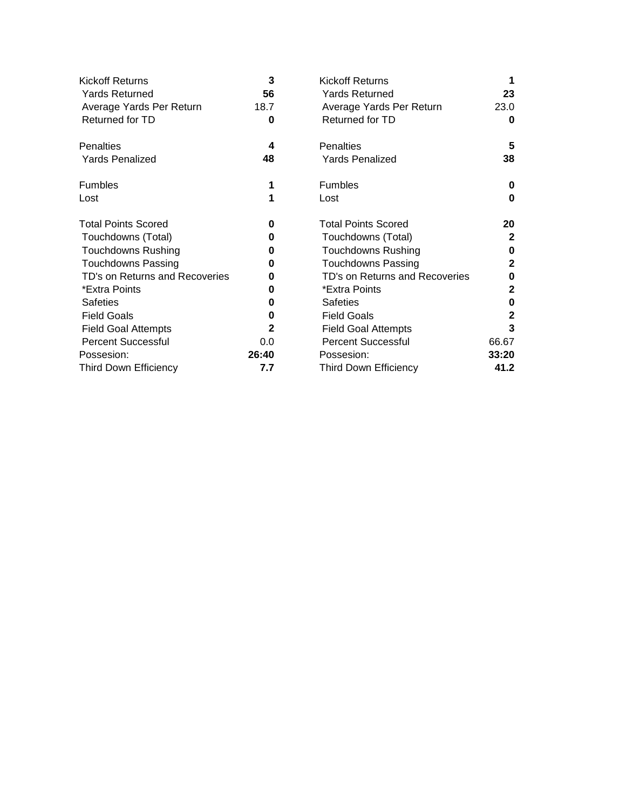| <b>Kickoff Returns</b>         | 3     | <b>Kickoff Returns</b>         | 1            |
|--------------------------------|-------|--------------------------------|--------------|
| <b>Yards Returned</b>          | 56    | <b>Yards Returned</b>          | 23           |
| Average Yards Per Return       | 18.7  | Average Yards Per Return       | 23.0         |
| Returned for TD                | 0     | Returned for TD                | 0            |
| <b>Penalties</b>               | 4     | Penalties                      | 5            |
| <b>Yards Penalized</b>         | 48    | <b>Yards Penalized</b>         | 38           |
| <b>Fumbles</b>                 | 1     | <b>Fumbles</b>                 | 0            |
| Lost                           | 1     | Lost                           | 0            |
| <b>Total Points Scored</b>     | 0     | <b>Total Points Scored</b>     | 20           |
| Touchdowns (Total)             | 0     | Touchdowns (Total)             | $\mathbf{2}$ |
| <b>Touchdowns Rushing</b>      | 0     | <b>Touchdowns Rushing</b>      | 0            |
| <b>Touchdowns Passing</b>      | 0     | <b>Touchdowns Passing</b>      | $\mathbf{2}$ |
| TD's on Returns and Recoveries | 0     | TD's on Returns and Recoveries | 0            |
| *Extra Points                  | 0     | *Extra Points                  | $\mathbf{2}$ |
| <b>Safeties</b>                | 0     | <b>Safeties</b>                | 0            |
| <b>Field Goals</b>             | 0     | <b>Field Goals</b>             | $\mathbf{2}$ |
| <b>Field Goal Attempts</b>     | 2     | <b>Field Goal Attempts</b>     | 3            |
| <b>Percent Successful</b>      | 0.0   | <b>Percent Successful</b>      | 66.67        |
| Possesion:                     | 26:40 | Possesion:                     | 33:20        |
| <b>Third Down Efficiency</b>   | 7.7   | <b>Third Down Efficiency</b>   | 41.2         |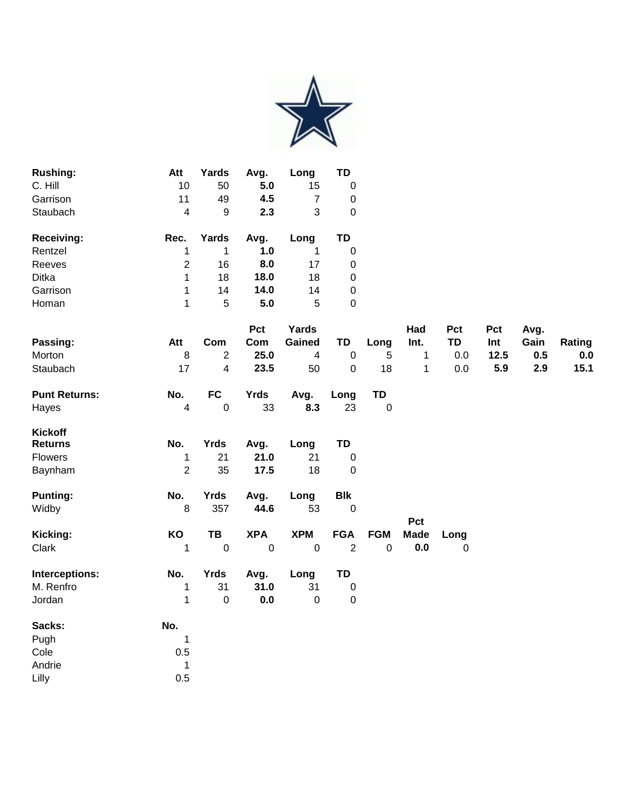

| <b>Rushing:</b><br>C. Hill<br>Garrison<br>Staubach | Att<br>10<br>11<br>4 | Yards<br>50<br>49<br>9 | Avg.<br>5.0<br>4.5<br>2.3 | Long<br>15<br>3 | TD<br>0<br>0<br>0 |
|----------------------------------------------------|----------------------|------------------------|---------------------------|-----------------|-------------------|
| <b>Receiving:</b>                                  | Rec.                 | Yards                  | Avg.                      | Long            | TD                |
| Rentzel                                            |                      | 1                      | 1.0                       |                 | 0                 |
| Reeves                                             | 2                    | 16                     | 8.0                       | 17              | 0                 |
| Ditka                                              | 1                    | 18                     | 18.0                      | 18              | 0                 |
| Garrison                                           | 1                    | 14                     | 14.0                      | 14              | 0                 |
| Homan                                              | 1                    | 5                      | 5.0                       | 5               | 0                 |

|                      |                |                | Pct         | <b>Yards</b> |                |             | Had                | Pct         | Pct  | Avg. |        |
|----------------------|----------------|----------------|-------------|--------------|----------------|-------------|--------------------|-------------|------|------|--------|
| Passing:             | Att            | Com            | Com         | Gained       | TD             | Long        | Int.               | TD          | Int  | Gain | Rating |
| Morton               | $\, 8$         | $\overline{2}$ | 25.0        | 4            | $\mathbf 0$    | 5           | 1                  | 0.0         | 12.5 | 0.5  | 0.0    |
| Staubach             | 17             | 4              | 23.5        | 50           | $\mathbf{0}$   | 18          | 1                  | 0.0         | 5.9  | 2.9  | 15.1   |
| <b>Punt Returns:</b> | No.            | <b>FC</b>      | <b>Yrds</b> | Avg.         | Long           | TD          |                    |             |      |      |        |
| Hayes                | 4              | 0              | 33          | 8.3          | 23             | $\mathbf 0$ |                    |             |      |      |        |
| <b>Kickoff</b>       |                |                |             |              |                |             |                    |             |      |      |        |
| <b>Returns</b>       | No.            | <b>Yrds</b>    | Avg.        | Long         | TD             |             |                    |             |      |      |        |
| <b>Flowers</b>       | 1              | 21             | 21.0        | 21           | 0              |             |                    |             |      |      |        |
| Baynham              | $\overline{2}$ | 35             | 17.5        | 18           | $\mathbf 0$    |             |                    |             |      |      |        |
| <b>Punting:</b>      | No.            | <b>Yrds</b>    | Avg.        | Long         | <b>Blk</b>     |             |                    |             |      |      |        |
| Widby                | 8              | 357            | 44.6        | 53           | $\mathbf 0$    |             |                    |             |      |      |        |
| Kicking:             | KO             | TB             | <b>XPA</b>  | <b>XPM</b>   | <b>FGA</b>     | <b>FGM</b>  | Pct<br><b>Made</b> | Long        |      |      |        |
| Clark                | 1              | $\pmb{0}$      | 0           | $\mathbf 0$  | $\overline{2}$ | $\pmb{0}$   | 0.0                | $\mathbf 0$ |      |      |        |
| Interceptions:       | No.            | <b>Yrds</b>    | Avg.        | Long         | TD             |             |                    |             |      |      |        |
| M. Renfro            | 1              | 31             | 31.0        | 31           | 0              |             |                    |             |      |      |        |
| Jordan               | 1              | $\pmb{0}$      | 0.0         | 0            | $\mathbf 0$    |             |                    |             |      |      |        |
| Sacks:               | No.            |                |             |              |                |             |                    |             |      |      |        |
| Pugh                 | 1              |                |             |              |                |             |                    |             |      |      |        |
| Cole                 | 0.5            |                |             |              |                |             |                    |             |      |      |        |
| Andrie               | 1              |                |             |              |                |             |                    |             |      |      |        |
| Lilly                | 0.5            |                |             |              |                |             |                    |             |      |      |        |